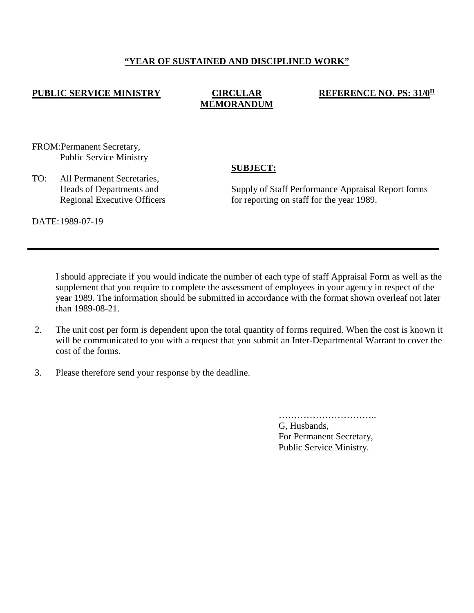## **"YEAR OF SUSTAINED AND DISCIPLINED WORK"**

## **PUBLIC SERVICE MINISTRY CIRCULAR**

# **MEMORANDUM**

#### **REFERENCE NO. PS: 31/0II**

FROM:Permanent Secretary, Public Service Ministry

TO: All Permanent Secretaries, Heads of Departments and Regional Executive Officers **SUBJECT:**

Supply of Staff Performance Appraisal Report forms for reporting on staff for the year 1989.

DATE:1989-07-19

I should appreciate if you would indicate the number of each type of staff Appraisal Form as well as the supplement that you require to complete the assessment of employees in your agency in respect of the year 1989. The information should be submitted in accordance with the format shown overleaf not later than 1989-08-21.

- 2. The unit cost per form is dependent upon the total quantity of forms required. When the cost is known it will be communicated to you with a request that you submit an Inter-Departmental Warrant to cover the cost of the forms.
- 3. Please therefore send your response by the deadline.

…………………………..

G, Husbands, For Permanent Secretary, Public Service Ministry.